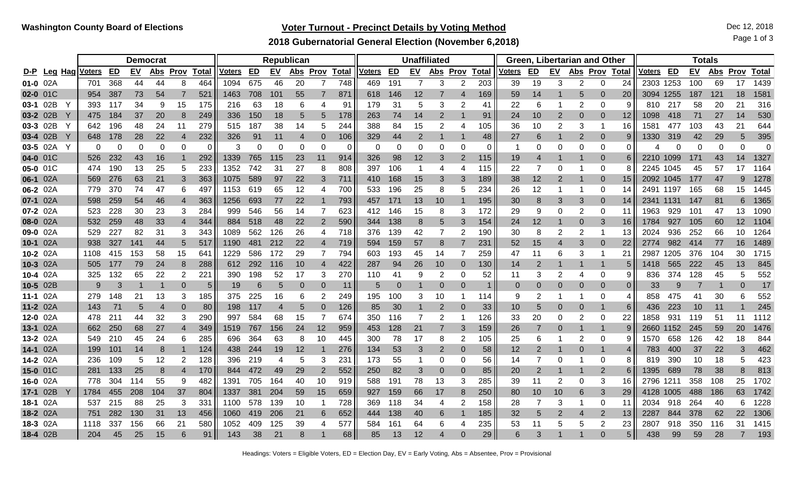# **Voter Turnout - Precinct Details by Voting Method Decision Control Control Control Control Control Control Control Control Control Control Control Control Control Control Control Control Control Control Control Control Co**

**2018 Gubernatorial General Election (November 6,2018)**

Page 1 of 3

|          |              |                    |          |           | <b>Democrat</b> |                |            |               |     |           | Republican |             |              | <b>Unaffiliated</b> |                 |                |                |                |              |               |                |                | Green, Libertarian and Other |                |                | <b>Totals</b> |           |           |            |             |              |  |
|----------|--------------|--------------------|----------|-----------|-----------------|----------------|------------|---------------|-----|-----------|------------|-------------|--------------|---------------------|-----------------|----------------|----------------|----------------|--------------|---------------|----------------|----------------|------------------------------|----------------|----------------|---------------|-----------|-----------|------------|-------------|--------------|--|
|          |              | D-P Leg Hag Voters | ED       | <b>EV</b> | Abs             | <b>Prov</b>    | Total      | <u>Voters</u> | ED  | <u>EV</u> | <u>Abs</u> | <b>Prov</b> | <u>Total</u> | Voters              | ED              | <u>EV</u>      | Abs            | <u>Prov</u>    | <b>Total</b> | <u>Voters</u> | ED             | <b>EV</b>      | Abs Prov                     |                | Total          | <u>Voters</u> | <b>ED</b> | <b>EV</b> | <u>Abs</u> | <u>Prov</u> | <u>Total</u> |  |
| 01-0 02A |              | 701                | 368      | 44        | 44              | 8              | 464        | 1094          | 675 | 46        | 20         |             | 748          | 469                 | 191             | 7              | 3              |                | 203          | 39            | 19             | 3              | 2                            | 0              | 24             | 2303          | 1253      | 100       | 69         | 17          | 1439         |  |
| 02-0 01C |              | 954                | 387      | 73        | 54              |                | 521        | 1463          | 708 | 101       | 55         |             | 871          | 618                 | 146             | 12             |                |                | 169          | 59            | 14             |                | 5                            | $\Omega$       | 20             | 3094          | 1255      | 187       | 121        | 18          | 1581         |  |
| 03-1 02B |              | 393                | 117      | 34        | 9               | 15             | 175        | 216           | 63  | 18        | 6          |             | 91           | 179                 | 31              | 5              | 3              | 2              | 41           | 22            | 6              |                | 2                            | 0              | 9              | 810           | 217       | 58        | 20         | 21          | 316          |  |
| 03-2 02B | $\mathsf{Y}$ | 475.               | 184      | 37        | 20              | 8              | 249        | 336           | 150 | 18        | 5          |             | 178          | 263                 | 74              | 14             | $\overline{2}$ |                | 91           | 24            | 10             | $\overline{2}$ | 0                            | $\Omega$       | 12             | 1098          | 418       | 71        | 27         | 14          | 530          |  |
| 03-3 02B |              | 642                | 196      | 48        | 24              | 11             | 279        | 515           | 187 | 38        | 14         |             | 244          | 388                 | 84              | 15             | $\overline{2}$ | 4              | 105          | 36            | 10             | 2              | 3                            |                | 16             | 1581          | 477       | 103       | 43         | 21          | 644          |  |
| 03-4 02B |              | 648.               | 178      | 28        | 22              | 4              | 232        | 326           | 91  | 11        | 4          |             | 106          | 329                 | 44              | $\overline{2}$ |                |                | 48           | 27            | 6              |                | $\overline{2}$               | $\Omega$       | 9              | 1330          | 319       | 42        | 29         | 5           | 395          |  |
| 03-5 02A | Y            | $\Omega$           | $\Omega$ | 0         | 0               | 0              | $\Omega$   | 3             | 0   | $\Omega$  | 0          |             | 0            | 0                   | $\Omega$        | 0              | $\Omega$       | C              | $\Omega$     |               | 0              | $\Omega$       | 0                            | $\Omega$       | $\Omega$       |               |           | 0         | 0          | 0           | 0            |  |
| 04-0 01C |              | 526.               | 232      | 43        | 16              |                | 292        | 1339          | 765 | 115       | 23         | 11          | 914          | 326                 | 98              | 12             | 3              | 2              | 115          | 19            | 4              |                |                              | $\Omega$       | 6              | 2210.         | 1099      | 171       | 43         | 14          | 1327         |  |
| 05-0 01C |              | 474                | 190      | 13        | 25              | 5              | 233        | 1352          | 742 | 31        | 27         |             | 808          | 397                 | 106             | -1             | 4              | 4              | 115          | 22            | 7              |                |                              | $\Omega$       | 8              | 2245          | 1045      | 45        | 57         | 17          | 1164         |  |
| 06-1 02A |              | 569                | 276      | 63        | 21              | 3              | 363        | 1075          | 589 | 97        | 22         | 3           | 711          | 410                 | 168             | 15             | 3              | 3              | 189          | 38            | 12             | $\overline{2}$ |                              | $\Omega$       | 15             | 2092.         | 1045      | 177       | 47         | 9           | 1278         |  |
| 06-2 02A |              | 779                | 370      | 74        | 47              | 6              | 497        | 1153          | 619 | 65        | 12         |             | 700          | 533                 | 196             | 25             | 8              | 5              | 234          | 26            | 12             |                |                              | $\Omega$       | 14             | 2491          | 1197      | 165       | 68         | 15          | 1445         |  |
| 07-1 02A |              | 598                | 259      | 54        | 46              | 4              | 363        | 1256          | 693 | 77        | 22         |             | 793          | 457                 | 171             | 13             | 10             |                | 195          | 30            | 8              | 3              | 3                            | $\Omega$       | 14             | 2341          | 1131      | 147       | 81         | 6           | 1365         |  |
| 07-2 02A |              | 523.               | 228      | 30        | 23              | 3              | 284        | 999           | 546 | 56        | 14         |             | 623          | 412                 | 146             | 15             | 8              | 3              | 172          | 29            | 9              | 0              | 2                            | 0              | 11             | 1963          | 929       | 101       | 47         | 13          | 1090         |  |
| 08-0 02A |              | 532                | 259      | 48        | 33              | 4              | 344        | 884           | 518 | 48        | 22         | 2           | 590          | 344                 | 138             | 8              | 5              | 3              | 154          | 24            | 12             |                | 0                            | 3              | 16             | 1784          | 927       | 105       | 60         | 12          | 1104         |  |
| 09-0 02A |              | 529                | 227      | 82        | 31              | 3              | 343        | 1089          | 562 | 126       | 26         | 4           | 718          | 376                 | 139             | 42             | $\overline{7}$ | $\overline{2}$ | 190          | 30            | 8              |                | 2                            |                | 13             | 2024          | 936       | 252       | 66         | 10          | 1264         |  |
| 10-1 02A |              | 938.               | 327      | 141       | 44              | 5              | 517        | 1190          | 481 | 212       | 22         |             | 719          | 594                 | 159             | 57             | 8              |                | 231          | 52            | 15             |                | 3                            | $\Omega$       | 22             | 2774          | 982       | -414      | 77         | 16          | 1489         |  |
| 10-2 02A |              | 1108               | 415      | 153       | 58              | 15             | 641        | 1229          | 586 | 172       | 29         |             | 794          | 603                 | 193             | 45             | 14             | 7              | 259          | 47            | 11             | 6              | 3                            |                | 21             | 2987          | 1205      | 376       | 104        | 30          | 1715         |  |
| 10-3 02A |              | 505                | 177      | 79        | 24              | 8              | 288        | 612           | 292 | 116       | 10         |             | 422          | 287                 | 94              | 26             | 10             | $\Omega$       | 130          | 14            |                |                |                              |                | 5              | 1418          | 565       | 222       | 45         | 13          | 845          |  |
| 10-4 02A |              | 325                | 132      | 65        | 22              | $\overline{2}$ | 221        | 390           | 198 | 52        | 17         | 3           | 270          | 110                 | 41              | 9              | 2              | 0              | 52           | 11            | 3              |                | 4                            | $\Omega$       | 9              | 836           | 374       | 128       | 45         | 5           | 552          |  |
| 10-5 02B |              | 9                  | 3        |           |                 | 0              | 5          | 19            | 6   | 5         |            |             | 11           | 5                   | $\Omega$        |                | $\Omega$       |                |              | $\Omega$      | 0              |                | 0                            | $\Omega$       | $\overline{0}$ | 33            | 9         |           |            | 0           | 17           |  |
| 11-1 02A |              | 279                | 148      | 21        | 13              | 3              | 185        | 375           | 225 | 16        | 6          |             | 249          | 195                 | 100             | 3              | 10             |                | 114          | 9             | 2              |                |                              | $\Omega$       | 4              | 858           | 475       | 41        | 30         | 6           | 552          |  |
| 11-2 02A |              | 143                | 71       |           |                 | 0              | 80         | 198           | 117 |           | 5          |             | 126          | 85                  | 30              |                | $\overline{2}$ |                | 33           | 10            | 5              |                | 0                            |                | 6              | 436           | 223       | 10        | 11         |             | 245          |  |
| 12-0 02A |              | 478                | 211      | 44        | 32              | 3              | 290        | 997           | 584 | 68        | 15         |             | 674          | 350                 | 116             |                | 2              |                | 126          | 33            | 20             | $\Omega$       | 2                            | $\Omega$       | 22             | 1858          | 931       | 119       | 51         | 11          | 1112         |  |
| 13-1 02A |              | 662                | 250      | 68        | 27              | 4              | 349        | 1519          | 767 | 156       | 24         | 12          | 959          | 453                 | 128             | 21             |                | 3              | 159          | 26            | $\overline{7}$ |                |                              |                | 9              | 2660          | 1152      | 245       | 59         | 20          | 1476         |  |
| 13-2 02A |              | 549                | 210      | 45        | 24              | 6              | 285        | 696           | 364 | 63        | 8          | 10          | 445          | 300                 | 78              | 17             | 8              | $\overline{2}$ | 105          | 25            | 6              |                | 2                            | $\Omega$       | 9              | 1570.         | 658       | 126       | 42         | 18          | 844          |  |
| 14-1 02A |              | 199.               | 101      | 14        | 8               |                | 124        | 438           | 244 | 19        | 12         |             | 276          | 134                 | 53              | 3              | 2              | 0              | 58           | 12            | 2              |                | 0                            |                | 4              | 783           | 400       | 37        | 22         | 3           | 462          |  |
| 14-2 02A |              | 236.               | 109      | 5         | 12              | 2              | 128        | 396           | 219 |           | 5          | 3           | 231          | 173                 | 55              |                | 0              | 0              | 56           | 14            |                |                |                              | 0              | 8              | 819           | 390       | 10        | 18         | 5           | 423          |  |
| 15-0 01C |              | 281                | 133      | 25        |                 | 4              | 170        | 844           | 472 | 49        | 29         |             | 552          | 250                 | 82              | 3              | $\Omega$       | $\Omega$       | 85           | 20            | 2              |                |                              | 2              | 6              | 1395          | 689       | 78        | 38         | 8           | 813          |  |
| 16-0 02A |              | 778                | 304      | 114       | 55              | 9              | 482        | 1391          | 705 | 164       | 40         | 10          | 919          | 588                 | 191             | 78             | 13             | 3              | 285          | 39            | 11             |                | 0                            | 3              | 16             | 2796          | 1211      | 358       | 108        | 25          | 1702         |  |
| 17-1 02B |              | 1784               | 455      | 208       | 104             | 37             | 804        | 1337          | 381 | 204       | 59         | 15          | 659          | 927                 | 159             | 66             | 17             | 8              | 250          | 80            | 10             | 10             | 6                            | 3              | 29             | 4128          | 1005      | 488       | 186        | 63          | 1742         |  |
| 18-1 02A |              | 537                | 215      | 88        | 25              | 3              | 331        | 1100          | 578 | 139       | 10         |             | 728          | 369                 | 118             | 34             | 4              |                | 158          | 28            |                | 3              |                              | 0              | 11             | 2034          | 918       | 264       | 40         | 6           | 1228         |  |
| 18-2 02A |              | 751                | 282      | 130       | 31              | 13             | 456        | 1060          | 419 | 206       | 21         |             | 652          | 444                 | 138             | 40             | 6              |                | 185          | 32            | 5              |                | Δ                            | $\overline{2}$ | 13             | 2287          | 844       | 378       | 62         | 22          | 1306         |  |
| 18-3 02A |              | 1118               | 337      | 156       | 66              | 21             | <b>580</b> | 1052          | 409 | 125       | 39         |             | 577          | 584                 | 16 <sup>′</sup> | 64             | 6              |                | 235          | 53            | 11             |                | 5                            | 2              | 23             | 2807          | 918       | 350       | 116        | 31          | 1415         |  |
| 18-4 02B |              | 204                | 45       | 25        | 15              | 6              | 91         | 143           | 38  | 21        |            |             | 68           | 85                  | 13              | 12             |                |                | 29           |               |                |                |                              | $\Omega$       | 5 <sub>1</sub> | 438           | 99        | 59        | 28         |             | 193          |  |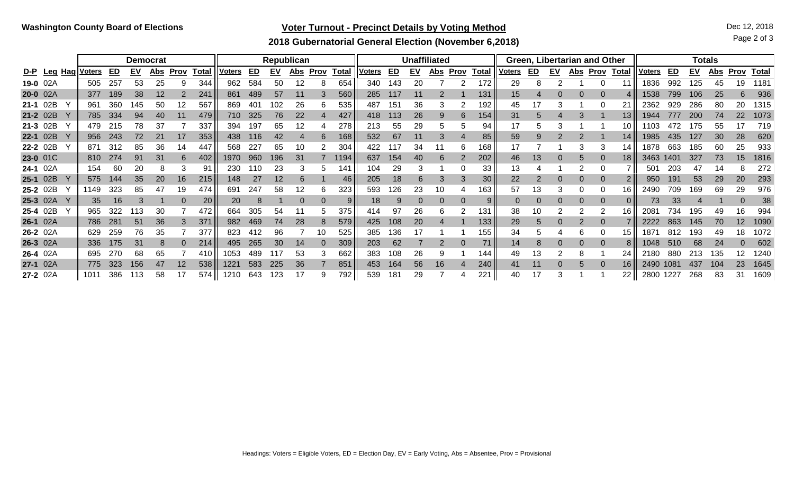# **Voter Turnout - Precinct Details by Voting Method Decision Control Decision Control Dec 12, 2018**

Page 2 of 3

### **2018 Gubernatorial General Election (November 6,2018)**

|          |            |               |     | <b>Democrat</b> |            |             |              |        |      |           | Republican |          |              |               |                 |           | <b>Unaffiliated</b> |             |              |               |    |           | Green, Libertarian and Other |             |                 | Totals        |           |           |            |             |              |  |
|----------|------------|---------------|-----|-----------------|------------|-------------|--------------|--------|------|-----------|------------|----------|--------------|---------------|-----------------|-----------|---------------------|-------------|--------------|---------------|----|-----------|------------------------------|-------------|-----------------|---------------|-----------|-----------|------------|-------------|--------------|--|
| D-P Leg  | <u>Hag</u> | <u>Voters</u> | ED  | <u>EV</u>       | <u>Abs</u> | <b>Prov</b> | <b>Total</b> | Voters | ED   | <u>EV</u> | <u>Abs</u> | Prov     | <b>Total</b> | <b>Voters</b> | ED              | <u>EV</u> | <u>Abs</u>          | <b>Prov</b> | <b>Total</b> | <u>Voters</u> | ED | <u>EV</u> | <u>Abs</u>                   | <u>Prov</u> | <b>Total</b>    | <u>Voters</u> | <u>ED</u> | <b>EV</b> | <u>Abs</u> | <u>Prov</u> | <b>Total</b> |  |
| 19-0 02A |            | 505           | 257 | 53              | 25         | 9           | 344          | 962    | 584  | 50        | 12         |          | 654          | 340           | 143             | 20        |                     |             | 172          | 29            |    |           |                              |             |                 | 1836          | 992       | 125       | 45         | 19          | 1181         |  |
| 20-0 02A |            | 377           | 189 | 38              | 12         |             | 241          | 861    | 489  | 57        |            |          | 560          | 285           | н.              |           |                     |             | 131          | 15            |    |           |                              |             |                 | 1538          | 799       | 106       | 25         |             | 936          |  |
| 21-1 02B |            | 961           | 360 | 145             | 50         | 12          | 567          | 869    | 40٬  | 102       | 26         | 6        | 535          | 487           | 151             | 36        | 3                   |             | 192          | 45            |    |           |                              |             |                 | 2362          | 929       | 286       | 80         | 20          | 1315         |  |
| 21-2 02B |            | 785.          | 334 | 94              | 40         |             | 479          | 710    | 325  | 76        | 22         |          | 427          | 418           | 13              | 26        | 9                   |             | 154          | 31            |    |           |                              |             | 13 <sub>1</sub> | 1944          | 177       | 200       | 74         | 22          | 1073         |  |
| 21-3 02B |            | 479.          | 215 | 78              | 37         |             | 337          | 394    | 197  | 65        | 12         |          | 278          | 213           | 55              | 29        | 5                   |             | 94           |               | b  |           |                              |             | 10              |               |           | 75        | 55         | 17          | 719          |  |
| 22-1 02B |            | 956           | 243 | 72              | 21         |             | 353          | 438    | 16   | 42        |            |          | 168          | 532           | 67              |           | 3                   |             | 85           | 59            | 9  |           |                              |             | 14              | 1985          | 435.      | 127       | 30         | 28          | 620          |  |
| 22-2 02B |            | 871           | 312 | 85              | 36         | 14          | 447          | 568    | 227  | 65        | 10         |          | 304          |               |                 | 34        | 11                  | 6           | 168          |               |    |           |                              | 3           | 14              | 1878          | 663       | 185       | 60         | 25          | 933          |  |
| 23-0 01C |            | 810           | 274 | 91              | 31         | 6           | 402          | 1970   | 960  | 196       | 31         |          | 1194         | 637           | 154             | 40        | 6                   |             | 202          | 46            | 13 |           |                              | $\Omega$    | 18              | 3463          | 1401      | 327       | 73         | 15          | 1816         |  |
| 24-1 02A |            | 154           | 60  | 20              |            | З           | 91           | 230    | l 10 | 23        |            |          | 141          | 04            | 29              | 3         |                     |             | 33           | 13            |    |           |                              | O           |                 | 50            | 203       | 47        | 14         |             | 272          |  |
| 25-1 02B |            | 575           | 144 | 35              | 20         | 16          | 215          | 148    | 27   | 12        |            |          | 46           | 205           | 18              | 6         | 3                   |             | 30           | 22            |    |           |                              |             |                 | 950           | 191       | 53        | 29         | 20          | 293          |  |
| 25-2 02B |            | 1149          | 323 | 85              | 47         | 19          | 474          | 691    | 247  | 58        | 12         |          | 323          | 593           | 26              | 23        | 10                  |             | 163          | 57            | 13 |           |                              |             | 16.             | 2490          | 709       | 169       | 69         | 29          | 976          |  |
| 25-3 02A |            | 35            | 16  |                 |            | 0           | 20           | 20     | 8    |           | $\Gamma$   | $\Omega$ | 9.           | 18            | 9               |           | 0                   |             | 9            |               |    |           | $\Omega$                     | $\Omega$    |                 | 73            | 33        |           |            |             | 38           |  |
| 25-4 02B |            | 965           | 322 | 13              | 30         |             | 472          | 664    | 305  | 54        |            |          | 375          | 414           | 97              | 26        | 6                   |             | 131          | 38            | 10 |           |                              | 2           | 16.             | 208           | 734       | 195       | 49         | 16          | 994          |  |
| 26-1 02A |            | 786           | 281 | 51              | 36         |             | 371          | 982    | 469  | 74        | 28         |          | 579          | 425           | 108             | 20        |                     |             | 133          | 29            | b  |           |                              |             |                 | 2222          | 863       | 145       | 70         | 12          | 1090         |  |
| 26-2 02A |            | 629           | 259 | 76              | 35         |             | 377          | 823    |      | 96        |            | 10       | 525          | 385           | 136             |           |                     |             | 155          | 34            |    |           |                              |             | 15.             | 187           | 812       | 193       | 49         | 18          | 1072         |  |
| 26-3 02A |            | 336           | 175 | 31              |            | 0           | 214          | 495    | 265  | 30        | 14         |          | 309          | 203           | 62              |           | 2                   |             | 71           | 14            | 8  |           |                              | $\Omega$    |                 | 1048          | 510       | 68        | 24         |             | 602          |  |
| 26-4 02A |            | 695           | 270 | 68              | 65         |             | 410          | 1053   | 489  | 117       | 53         |          | 662          | 383           | 108             | 26        |                     |             | 144          | 49            | 13 |           |                              |             | 24              | 2180          | 880       | 213       | 135        | 12          | 1240         |  |
| 27-1 02A |            | 775           | 323 | 156             | 47         | 12          | 538          |        | 583  | 225       | 36         |          | 851          | 453           | 164             | 56        | 16                  |             | 240          |               |    |           |                              |             | 16 I            | 2490          | 1081      | 437       | 104        | 23          | 1645         |  |
| 27-2 02A |            | 101'          | 386 |                 | 58         |             | 574          | 1210   | 643  | 123       |            |          | 792 II       | 539           | 18 <sub>1</sub> | 29        |                     |             | 221          | 40            |    |           |                              |             | 22              | 2800          | 1227      | 268       | 83         | 31          | 1609         |  |